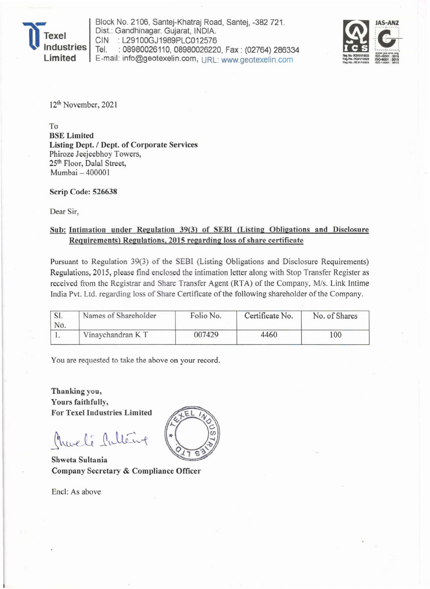Texel<br>
Indus dustries **Limited** 

Block No. 2106, Santej-Khatraj Road, Santej, -382721. Dist.: Gandhinagar. Gujarat, INDIA. CIN : L29100GJ1989PLC012576 Tel. : 08980026110, 08980026220, Fax: (02764) 286334 E-mail: info@geotexelin.com, URL: www.geotexelin.com



12th November, 2021

To BSE Limited Listing Dept. / Dept. of Corporate Services Phiroze Jeejeebhoy Towers, 25th Floor, Dalal Street, Mumbai - 400001

Scrip Code: 526638

Dear Sir,

## Sub: Intimation under Regulation 39(3) of SEBI (Listing Obligations and Disclosure Requirements) Regulations, 2015 regarding loss of share certificate

Pursuant to Regulation 39(3) of the SEBI (Listing Obligations and Disclosure Requirements) Regulations, 2015, please find enclosed the intimation letter along with Stop Transfer Register as received from the Registrar and Share Transfer Agent (RTA) of the Company, M/s. Link Intime India Pvt. Ltd. regarding loss of Share Certificate of the following shareholder of the Company.

| No. | Names of Shareholder | Folio No. | Certificate No. | No. of Shares |
|-----|----------------------|-----------|-----------------|---------------|
|     | Vinaychandran KT     | 007429    | 4460            | 100           |

You are requested to take the above on your record.

Thanking you, Yours faithfully, For Texel Industries Limited

Charli Cultin

Shweta Sultania Company Secretary & Compliance Officer

Encl: As above

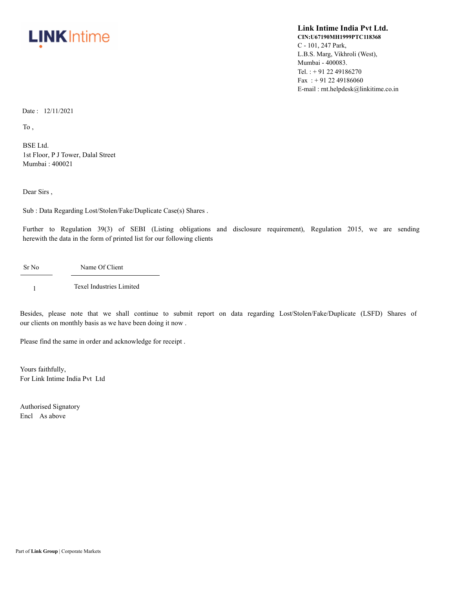

## **Link Intime India Pvt Ltd. CIN:U67190MH1999PTC118368** C - 101, 247 Park, L.B.S. Marg, Vikhroli (West), Mumbai - 400083. Tel. : + 91 22 49186270 Fax: +91 22 49186060 E-mail : rnt.helpdesk@linkitime.co.in

Date : 12/11/2021

To ,

BSE Ltd. 1st Floor, P J Tower, Dalal Street Mumbai : 400021

Dear Sirs ,

Sub : Data Regarding Lost/Stolen/Fake/Duplicate Case(s) Shares .

Further to Regulation 39(3) of SEBI (Listing obligations and disclosure requirement), Regulation 2015, we are sending herewith the data in the form of printed list for our following clients

Sr No Name Of Client

1 Texel Industries Limited

Besides, please note that we shall continue to submit report on data regarding Lost/Stolen/Fake/Duplicate (LSFD) Shares of our clients on monthly basis as we have been doing it now .

Please find the same in order and acknowledge for receipt .

Yours faithfully, For Link Intime India Pvt Ltd

Authorised Signatory Encl As above